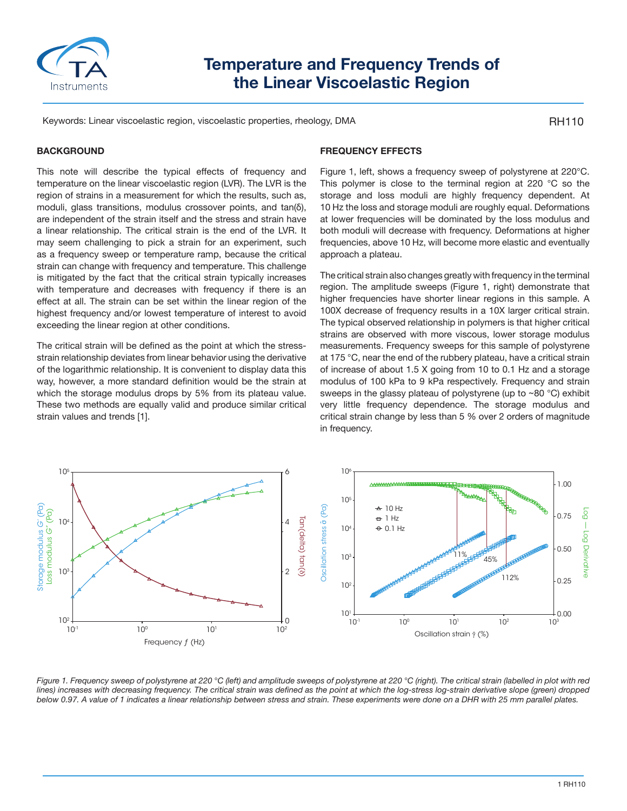

# **Temperature and Frequency Trends of the Linear Viscoelastic Region**

Keywords: Linear viscoelastic region, viscoelastic properties, rheology, DMA

RH110

### **BACKGROUND**

This note will describe the typical effects of frequency and temperature on the linear viscoelastic region (LVR). The LVR is the region of strains in a measurement for which the results, such as, moduli, glass transitions, modulus crossover points, and tan(δ), are independent of the strain itself and the stress and strain have a linear relationship. The critical strain is the end of the LVR. It may seem challenging to pick a strain for an experiment, such as a frequency sweep or temperature ramp, because the critical strain can change with frequency and temperature. This challenge is mitigated by the fact that the critical strain typically increases with temperature and decreases with frequency if there is an effect at all. The strain can be set within the linear region of the highest frequency and/or lowest temperature of interest to avoid exceeding the linear region at other conditions.

The critical strain will be defined as the point at which the stressstrain relationship deviates from linear behavior using the derivative of the logarithmic relationship. It is convenient to display data this way, however, a more standard definition would be the strain at which the storage modulus drops by 5% from its plateau value. These two methods are equally valid and produce similar critical strain values and trends [1].

## **FREQUENCY EFFECTS**

Figure 1, left, shows a frequency sweep of polystyrene at 220°C. This polymer is close to the terminal region at 220 °C so the storage and loss moduli are highly frequency dependent. At 10 Hz the loss and storage moduli are roughly equal. Deformations at lower frequencies will be dominated by the loss modulus and both moduli will decrease with frequency. Deformations at higher frequencies, above 10 Hz, will become more elastic and eventually approach a plateau.

The critical strain also changes greatly with frequency in the terminal region. The amplitude sweeps (Figure 1, right) demonstrate that higher frequencies have shorter linear regions in this sample. A 100X decrease of frequency results in a 10X larger critical strain. The typical observed relationship in polymers is that higher critical strains are observed with more viscous, lower storage modulus measurements. Frequency sweeps for this sample of polystyrene at 175 °C, near the end of the rubbery plateau, have a critical strain of increase of about 1.5 X going from 10 to 0.1 Hz and a storage modulus of 100 kPa to 9 kPa respectively. Frequency and strain sweeps in the glassy plateau of polystyrene (up to ~80 °C) exhibit very little frequency dependence. The storage modulus and critical strain change by less than 5 % over 2 orders of magnitude in frequency.



*Figure 1. Frequency sweep of polystyrene at 220 °C (left) and amplitude sweeps of polystyrene at 220 °C (right). The critical strain (labelled in plot with red*  lines) increases with decreasing frequency. The critical strain was defined as the point at which the log-stress log-strain derivative slope (green) dropped *below 0.97. A value of 1 indicates a linear relationship between stress and strain. These experiments were done on a DHR with 25 mm parallel plates.*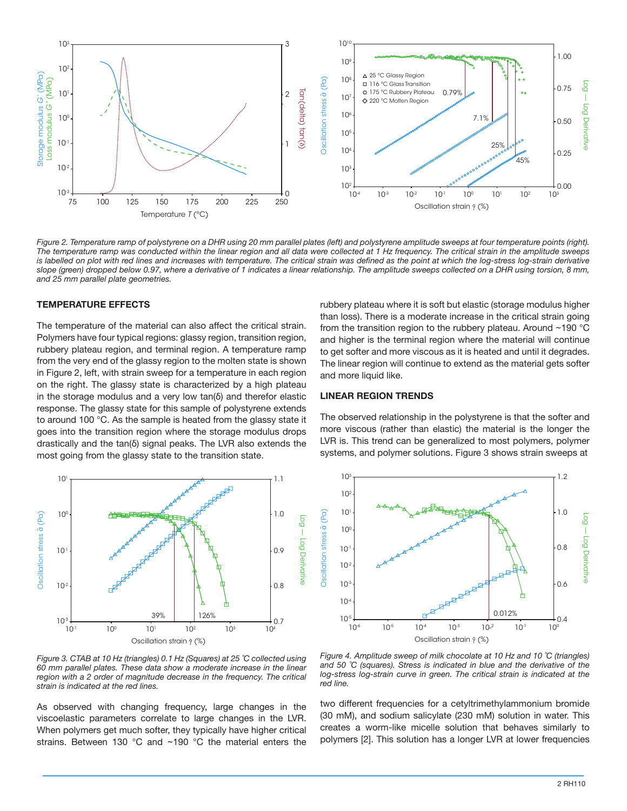

Figure 2. Temperature ramp of polystyrene on a DHR using 20 mm parallel plates (left) and polystyrene amplitude sweeps at four temperature points (right). *The temperature ramp was conducted within the linear region and all data were collected at 1 Hz frequency. The critical strain in the amplitude sweeps*  is labelled on plot with red lines and increases with temperature. The critical strain was defined as the point at which the log-stress log-strain derivative slope (green) dropped below 0.97, where a derivative of 1 indicates a linear relationship. The amplitude sweeps collected on a DHR using torsion, 8 mm,<br>and 25 mm parallel plate geometries.

#### **TEMPERATURE EFFECTS**

The temperature of the material can also affect the critical strain. Polymers have four typical regions: glassy region, transition region, rubbery plateau region, and terminal region. A temperature ramp from the very end of the glassy region to the molten state is shown in Figure 2, left, with strain sweep for a temperature in each region on the right. The glassy state is characterized by a high plateau in the storage modulus and a very low tan(δ) and therefor elastic response. The glassy state for this sample of polystyrene extends to around 100 °C. As the sample is heated from the glassy state it goes into the transition region where the storage modulus drops drastically and the tan(δ) signal peaks. The LVR also extends the most going from the glassy state to the transition state.



*Figure 3. CTAB at 10 Hz (triangles) 0.1 Hz (Squares) at 25 ˚C collected using 60 mm parallel plates. These data show a moderate increase in the linear region with a 2 order of magnitude decrease in the frequency. The critical strain is indicated at the red lines.*

As observed with changing frequency, large changes in the viscoelastic parameters correlate to large changes in the LVR. When polymers get much softer, they typically have higher critical strains. Between 130 °C and ~190 °C the material enters the rubbery plateau where it is soft but elastic (storage modulus higher than loss). There is a moderate increase in the critical strain going from the transition region to the rubbery plateau. Around ~190 °C and higher is the terminal region where the material will continue to get softer and more viscous as it is heated and until it degrades. The linear region will continue to extend as the material gets softer and more liquid like.

#### **LINEAR REGION TRENDS**

The observed relationship in the polystyrene is that the softer and more viscous (rather than elastic) the material is the longer the LVR is. This trend can be generalized to most polymers, polymer systems, and polymer solutions. Figure 3 shows strain sweeps at



*Figure 4. Amplitude sweep of milk chocolate at 10 Hz and 10 ˚C (triangles) and 50 ˚C (squares). Stress is indicated in blue and the derivative of the*  log-stress log-strain curve in green. The critical strain is indicated at the *red line.*

two different frequencies for a cetyltrimethylammonium bromide (30 mM), and sodium salicylate (230 mM) solution in water. This creates a worm-like micelle solution that behaves similarly to polymers [2]. This solution has a longer LVR at lower frequencies